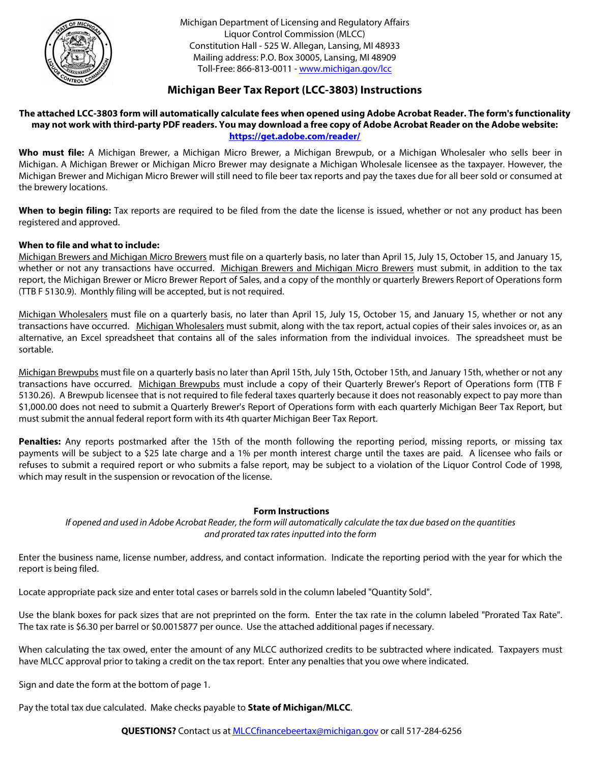

Michigan Department of Licensing and Regulatory Affairs Liquor Control Commission (MLCC) Constitution Hall - 525 W. Allegan, Lansing, MI 48933 Mailing address: P.O. Box 30005, Lansing, MI 48909 Toll-Free: 866-813-0011 - [www.michigan.gov/lcc](http://www.michigan.gov/lcc)

### **Michigan Beer Tax Report (LCC-3803) Instructions**

### **The attached LCC-3803 form will automatically calculate fees when opened using Adobe Acrobat Reader. The form's functionality may not work with third-party PDF readers. You may download a free copy of Adobe Acrobat Reader on the Adobe website: <https://get.adobe.com/reader/>**

**Who must file:** A Michigan Brewer, a Michigan Micro Brewer, a Michigan Brewpub, or a Michigan Wholesaler who sells beer in Michigan. A Michigan Brewer or Michigan Micro Brewer may designate a Michigan Wholesale licensee as the taxpayer. However, the Michigan Brewer and Michigan Micro Brewer will still need to file beer tax reports and pay the taxes due for all beer sold or consumed at the brewery locations.

**When to begin filing:** Tax reports are required to be filed from the date the license is issued, whether or not any product has been registered and approved.

### **When to file and what to include:**

Michigan Brewers and Michigan Micro Brewers must file on a quarterly basis, no later than April 15, July 15, October 15, and January 15, whether or not any transactions have occurred. Michigan Brewers and Michigan Micro Brewers must submit, in addition to the tax report, the Michigan Brewer or Micro Brewer Report of Sales, and a copy of the monthly or quarterly Brewers Report of Operations form (TTB F 5130.9). Monthly filing will be accepted, but is not required.

Michigan Wholesalers must file on a quarterly basis, no later than April 15, July 15, October 15, and January 15, whether or not any transactions have occurred. Michigan Wholesalers must submit, along with the tax report, actual copies of their sales invoices or, as an alternative, an Excel spreadsheet that contains all of the sales information from the individual invoices. The spreadsheet must be sortable.

Michigan Brewpubs must file on a quarterly basis no later than April 15th, July 15th, October 15th, and January 15th, whether or not any transactions have occurred. Michigan Brewpubs must include a copy of their Quarterly Brewer's Report of Operations form (TTB F 5130.26). A Brewpub licensee that is not required to file federal taxes quarterly because it does not reasonably expect to pay more than \$1,000.00 does not need to submit a Quarterly Brewer's Report of Operations form with each quarterly Michigan Beer Tax Report, but must submit the annual federal report form with its 4th quarter Michigan Beer Tax Report.

**Penalties:** Any reports postmarked after the 15th of the month following the reporting period, missing reports, or missing tax payments will be subject to a \$25 late charge and a 1% per month interest charge until the taxes are paid. A licensee who fails or refuses to submit a required report or who submits a false report, may be subject to a violation of the Liquor Control Code of 1998, which may result in the suspension or revocation of the license.

#### **Form Instructions**

*If opened and used in Adobe Acrobat Reader, the form will automatically calculate the tax due based on the quantities and prorated tax rates inputted into the form* 

Enter the business name, license number, address, and contact information. Indicate the reporting period with the year for which the report is being filed.

Locate appropriate pack size and enter total cases or barrels sold in the column labeled "Quantity Sold".

Use the blank boxes for pack sizes that are not preprinted on the form. Enter the tax rate in the column labeled "Prorated Tax Rate". The tax rate is \$6.30 per barrel or \$0.0015877 per ounce. Use the attached additional pages if necessary.

When calculating the tax owed, enter the amount of any MLCC authorized credits to be subtracted where indicated. Taxpayers must have MLCC approval prior to taking a credit on the tax report. Enter any penalties that you owe where indicated.

Sign and date the form at the bottom of page 1.

Pay the total tax due calculated. Make checks payable to **State of Michigan/MLCC**.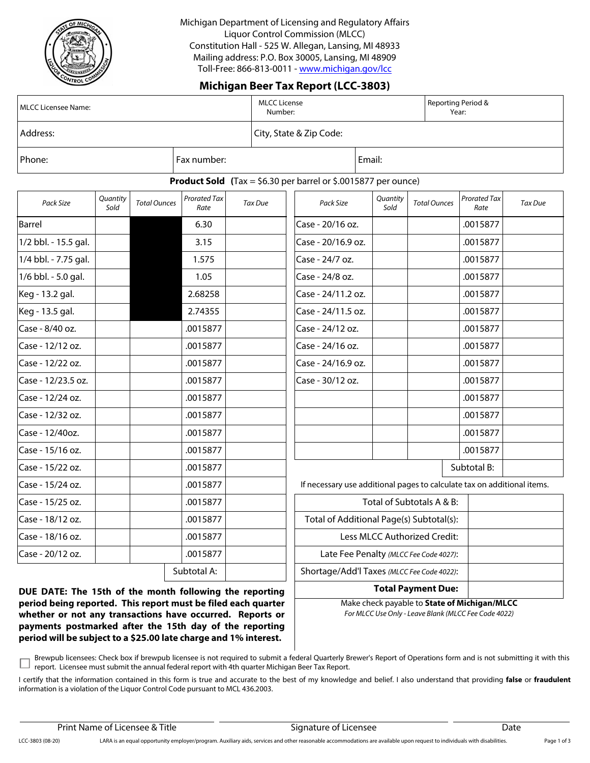

Michigan Department of Licensing and Regulatory Affairs Liquor Control Commission (MLCC) Constitution Hall - 525 W. Allegan, Lansing, MI 48933 Mailing address: P.O. Box 30005, Lansing, MI 48909 Toll-Free: 866-813-0011 - [www.michigan.gov/lcc](http://www.michigan.gov/lcc)

## **Michigan Beer Tax Report (LCC-3803)**

| MLCC Licensee Name: | MLCC License<br>Number: | Reporting Period &<br>Year: |        |  |
|---------------------|-------------------------|-----------------------------|--------|--|
| Address:            |                         | City, State & Zip Code:     |        |  |
| Phone:              | Fax number:             |                             | Email: |  |

#### **Product Sold (**Tax = \$6.30 per barrel or \$.0015877 per ounce)

| Quantity<br>Pack Size<br>Sold<br>Barrel<br>1/2 bbl. - 15.5 gal.<br>1/4 bbl. - 7.75 gal.<br>1/6 bbl. - 5.0 gal.<br>Keg - 13.2 gal.<br>Keg - 13.5 gal. |                     |                             |         |                                                                         |                  |                              |                             |         |
|------------------------------------------------------------------------------------------------------------------------------------------------------|---------------------|-----------------------------|---------|-------------------------------------------------------------------------|------------------|------------------------------|-----------------------------|---------|
|                                                                                                                                                      | <b>Total Ounces</b> | <b>Prorated Tax</b><br>Rate | Tax Due | Pack Size                                                               | Quantity<br>Sold | <b>Total Ounces</b>          | <b>Prorated Tax</b><br>Rate | Tax Due |
|                                                                                                                                                      |                     | 6.30                        |         | Case - 20/16 oz.                                                        |                  |                              | .0015877                    |         |
|                                                                                                                                                      |                     | 3.15                        |         | Case - 20/16.9 oz.                                                      |                  |                              | .0015877                    |         |
|                                                                                                                                                      |                     | 1.575                       |         | Case - 24/7 oz.                                                         |                  |                              | .0015877                    |         |
|                                                                                                                                                      |                     | 1.05                        |         | Case - 24/8 oz.                                                         |                  |                              | .0015877                    |         |
|                                                                                                                                                      |                     | 2.68258                     |         | Case - 24/11.2 oz.                                                      |                  |                              | .0015877                    |         |
|                                                                                                                                                      |                     | 2.74355                     |         | Case - 24/11.5 oz.                                                      |                  |                              | .0015877                    |         |
| Case - 8/40 oz.                                                                                                                                      |                     | .0015877                    |         | Case - 24/12 oz.                                                        |                  |                              | .0015877                    |         |
| Case - 12/12 oz.                                                                                                                                     |                     | .0015877                    |         | Case - 24/16 oz.                                                        |                  |                              | .0015877                    |         |
| Case - 12/22 oz.                                                                                                                                     |                     | .0015877                    |         | Case - 24/16.9 oz.                                                      |                  |                              | .0015877                    |         |
| Case - 12/23.5 oz.                                                                                                                                   |                     | .0015877                    |         | Case - 30/12 oz.                                                        |                  |                              | .0015877                    |         |
| Case - 12/24 oz.                                                                                                                                     |                     | .0015877                    |         |                                                                         |                  |                              | .0015877                    |         |
| Case - 12/32 oz.                                                                                                                                     |                     | .0015877                    |         |                                                                         |                  |                              | .0015877                    |         |
| Case - 12/40oz.                                                                                                                                      |                     | .0015877                    |         |                                                                         |                  |                              | .0015877                    |         |
| Case - 15/16 oz.                                                                                                                                     |                     | .0015877                    |         |                                                                         |                  |                              | .0015877                    |         |
| Case - 15/22 oz.                                                                                                                                     |                     | .0015877                    |         |                                                                         |                  |                              | Subtotal B:                 |         |
| Case - 15/24 oz.                                                                                                                                     |                     | .0015877                    |         | If necessary use additional pages to calculate tax on additional items. |                  |                              |                             |         |
| Case - 15/25 oz.                                                                                                                                     |                     | .0015877                    |         |                                                                         |                  | Total of Subtotals A & B:    |                             |         |
| Case - 18/12 oz.                                                                                                                                     |                     | .0015877                    |         | Total of Additional Page(s) Subtotal(s):                                |                  |                              |                             |         |
| Case - 18/16 oz.                                                                                                                                     |                     | .0015877                    |         |                                                                         |                  | Less MLCC Authorized Credit: |                             |         |
| Case - 20/12 oz.                                                                                                                                     |                     | .0015877                    |         | Late Fee Penalty (MLCC Fee Code 4027):                                  |                  |                              |                             |         |
|                                                                                                                                                      |                     | Subtotal A:                 |         | Shortage/Add'l Taxes (MLCC Fee Code 4022):                              |                  |                              |                             |         |

**DUE DATE: The 15th of the month following the reporting period being reported. This report must be filed each quarter whether or not any transactions have occurred. Reports or payments postmarked after the 15th day of the reporting period will be subject to a \$25.00 late charge and 1% interest.**

*For MLCC Use Only - Leave Blank (MLCC Fee Code 4022)* Make check payable to **State of Michigan/MLCC**

**Total Payment Due:**

Brewpub licensees: Check box if brewpub licensee is not required to submit a federal Quarterly Brewer's Report of Operations form and is not submitting it with this  $\Box$ report. Licensee must submit the annual federal report with 4th quarter Michigan Beer Tax Report.

I certify that the information contained in this form is true and accurate to the best of my knowledge and belief. I also understand that providing **false** or **fraudulent**  information is a violation of the Liquor Control Code pursuant to MCL 436.2003.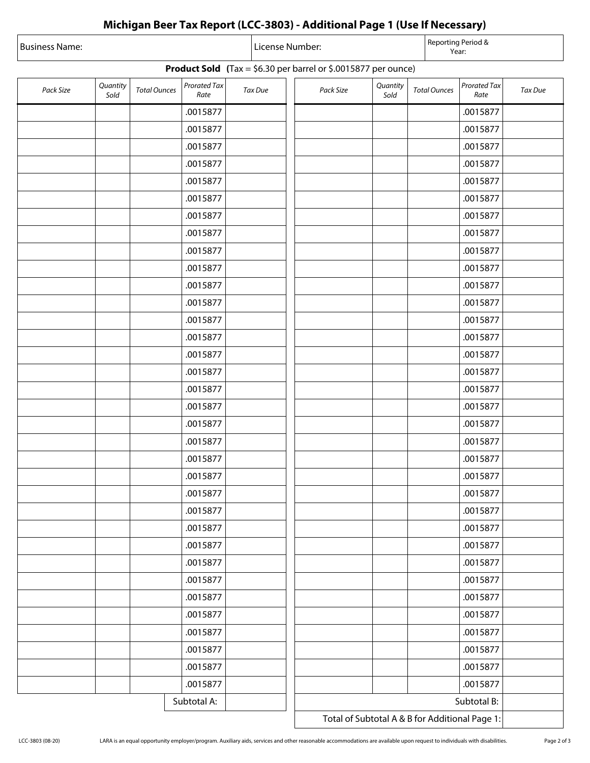# **Michigan Beer Tax Report (LCC-3803) - Additional Page 1 (Use If Necessary)**

| Business Name:                                                          |                  |                     |                             |  | License Number: |  |           |                  |                     | Reporting Period &<br>Year: |         |  |
|-------------------------------------------------------------------------|------------------|---------------------|-----------------------------|--|-----------------|--|-----------|------------------|---------------------|-----------------------------|---------|--|
| <b>Product Sold</b> (Tax = $$6.30$ per barrel or $$.0015877$ per ounce) |                  |                     |                             |  |                 |  |           |                  |                     |                             |         |  |
| Pack Size                                                               | Quantity<br>Sold | <b>Total Ounces</b> | <b>Prorated Tax</b><br>Rate |  | Tax Due         |  | Pack Size | Quantity<br>Sold | <b>Total Ounces</b> | Prorated Tax<br>Rate        | Tax Due |  |
|                                                                         |                  |                     | .0015877                    |  |                 |  |           |                  |                     | .0015877                    |         |  |
|                                                                         |                  |                     | .0015877                    |  |                 |  |           |                  |                     | .0015877                    |         |  |
|                                                                         |                  |                     | .0015877                    |  |                 |  |           |                  |                     | .0015877                    |         |  |
|                                                                         |                  |                     | .0015877                    |  |                 |  |           |                  |                     | .0015877                    |         |  |
|                                                                         |                  |                     | .0015877                    |  |                 |  |           |                  |                     | .0015877                    |         |  |
|                                                                         |                  |                     | .0015877                    |  |                 |  |           |                  |                     | .0015877                    |         |  |
|                                                                         |                  |                     | .0015877                    |  |                 |  |           |                  |                     | .0015877                    |         |  |
|                                                                         |                  |                     | .0015877                    |  |                 |  |           |                  |                     | .0015877                    |         |  |
|                                                                         |                  |                     | .0015877                    |  |                 |  |           |                  |                     | .0015877                    |         |  |
|                                                                         |                  |                     | .0015877                    |  |                 |  |           |                  |                     | .0015877                    |         |  |
|                                                                         |                  |                     | .0015877                    |  |                 |  |           |                  |                     | .0015877                    |         |  |
|                                                                         |                  |                     | .0015877                    |  |                 |  |           |                  |                     | .0015877                    |         |  |
|                                                                         |                  |                     | .0015877                    |  |                 |  |           |                  |                     | .0015877                    |         |  |
|                                                                         |                  |                     | .0015877                    |  |                 |  |           |                  |                     | .0015877                    |         |  |
|                                                                         |                  |                     | .0015877                    |  |                 |  |           |                  |                     | .0015877                    |         |  |
|                                                                         |                  |                     | .0015877                    |  |                 |  |           |                  |                     | .0015877                    |         |  |
|                                                                         |                  |                     | .0015877                    |  |                 |  |           |                  |                     | .0015877                    |         |  |
|                                                                         |                  |                     | .0015877                    |  |                 |  |           |                  |                     | .0015877                    |         |  |
|                                                                         |                  |                     | .0015877                    |  |                 |  |           |                  |                     | .0015877                    |         |  |
|                                                                         |                  |                     | .0015877                    |  |                 |  |           |                  |                     | .0015877                    |         |  |
|                                                                         |                  |                     | .0015877                    |  |                 |  |           |                  |                     | .0015877                    |         |  |
|                                                                         |                  |                     | .0015877                    |  |                 |  |           |                  |                     | .0015877                    |         |  |
|                                                                         |                  |                     | .0015877                    |  |                 |  |           |                  |                     | .0015877                    |         |  |
|                                                                         |                  |                     | .0015877                    |  |                 |  |           |                  |                     | .0015877                    |         |  |
|                                                                         |                  |                     | .0015877                    |  |                 |  |           |                  |                     | .0015877                    |         |  |
|                                                                         |                  |                     | .0015877                    |  |                 |  |           |                  |                     | .0015877                    |         |  |
|                                                                         |                  |                     | .0015877                    |  |                 |  |           |                  |                     | .0015877                    |         |  |
|                                                                         |                  |                     | .0015877                    |  |                 |  |           |                  |                     | .0015877                    |         |  |
|                                                                         |                  |                     | .0015877                    |  |                 |  |           |                  |                     | .0015877                    |         |  |
|                                                                         |                  |                     | .0015877                    |  |                 |  |           |                  |                     | .0015877                    |         |  |
|                                                                         |                  |                     | .0015877                    |  |                 |  |           |                  |                     | .0015877                    |         |  |
|                                                                         |                  |                     | .0015877                    |  |                 |  |           |                  |                     | .0015877                    |         |  |
|                                                                         |                  |                     | .0015877                    |  |                 |  |           |                  |                     | .0015877                    |         |  |
|                                                                         |                  |                     | .0015877                    |  |                 |  |           |                  |                     | .0015877                    |         |  |
| Subtotal A:                                                             |                  |                     |                             |  |                 |  |           |                  |                     |                             |         |  |